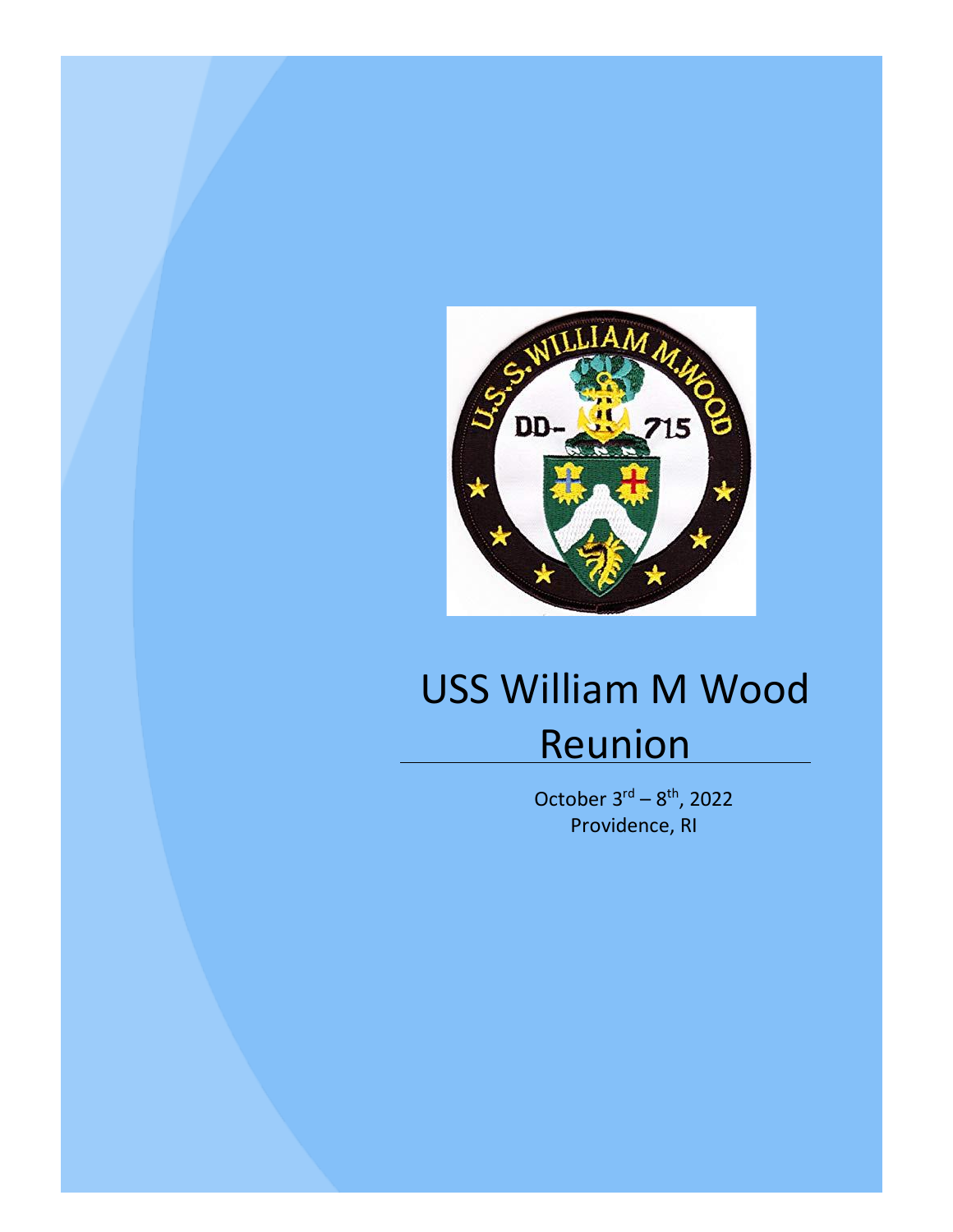

# USS William M Wood Reunion

October  $3<sup>rd</sup> - 8<sup>th</sup>$ , 2022 Providence, RI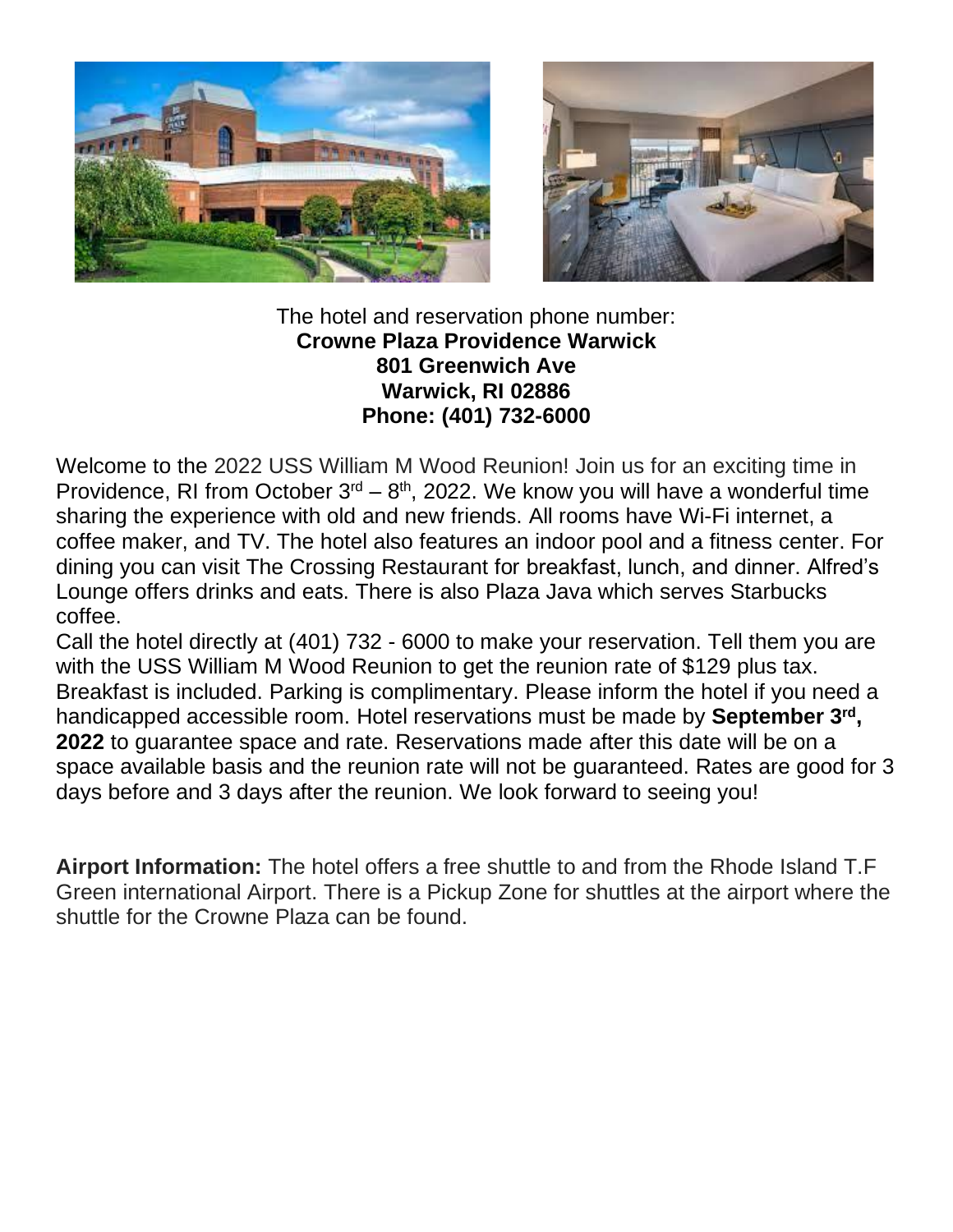



The hotel and reservation phone number: **Crowne Plaza Providence Warwick 801 Greenwich Ave Warwick, RI 02886 Phone: (401) 732-6000**

Welcome to the 2022 USS William M Wood Reunion! Join us for an exciting time in Providence, RI from October  $3^{rd} - 8^{th}$ , 2022. We know you will have a wonderful time sharing the experience with old and new friends. All rooms have Wi-Fi internet, a coffee maker, and TV. The hotel also features an indoor pool and a fitness center. For dining you can visit The Crossing Restaurant for breakfast, lunch, and dinner. Alfred's Lounge offers drinks and eats. There is also Plaza Java which serves Starbucks coffee.

Call the hotel directly at (401) 732 - 6000 to make your reservation. Tell them you are with the USS William M Wood Reunion to get the reunion rate of \$129 plus tax. Breakfast is included. Parking is complimentary. Please inform the hotel if you need a handicapped accessible room. Hotel reservations must be made by **September 3**<sup>rd</sup>, **2022** to guarantee space and rate. Reservations made after this date will be on a space available basis and the reunion rate will not be guaranteed. Rates are good for 3 days before and 3 days after the reunion. We look forward to seeing you!

**Airport Information:** The hotel offers a free shuttle to and from the Rhode Island T.F Green international Airport. There is a Pickup Zone for shuttles at the airport where the shuttle for the Crowne Plaza can be found.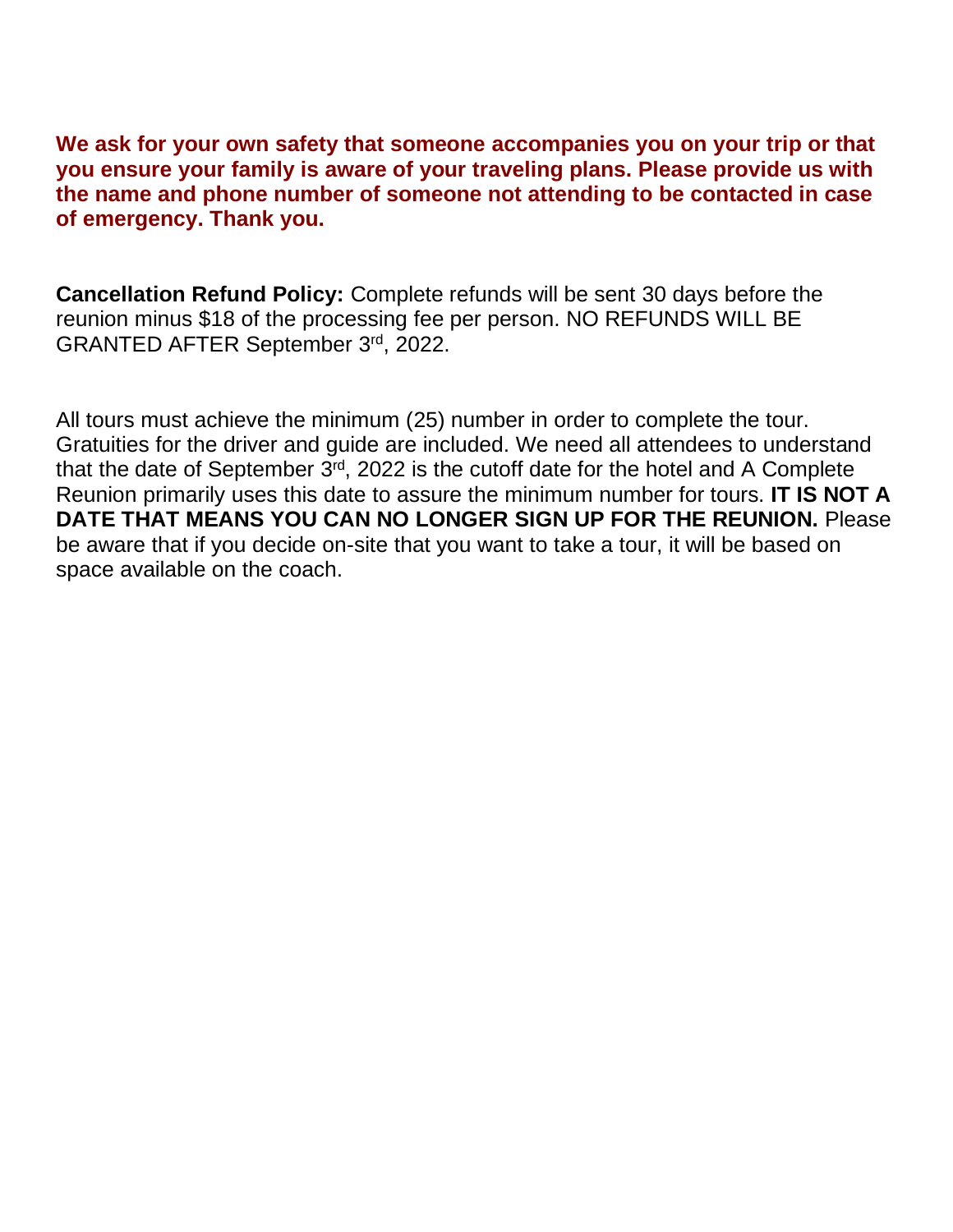**We ask for your own safety that someone accompanies you on your trip or that you ensure your family is aware of your traveling plans. Please provide us with the name and phone number of someone not attending to be contacted in case of emergency. Thank you.**

**Cancellation Refund Policy:** Complete refunds will be sent 30 days before the reunion minus \$18 of the processing fee per person. NO REFUNDS WILL BE GRANTED AFTER September 3rd, 2022.

All tours must achieve the minimum (25) number in order to complete the tour. Gratuities for the driver and guide are included. We need all attendees to understand that the date of September  $3<sup>rd</sup>$ , 2022 is the cutoff date for the hotel and A Complete Reunion primarily uses this date to assure the minimum number for tours. **IT IS NOT A DATE THAT MEANS YOU CAN NO LONGER SIGN UP FOR THE REUNION.** Please be aware that if you decide on-site that you want to take a tour, it will be based on space available on the coach.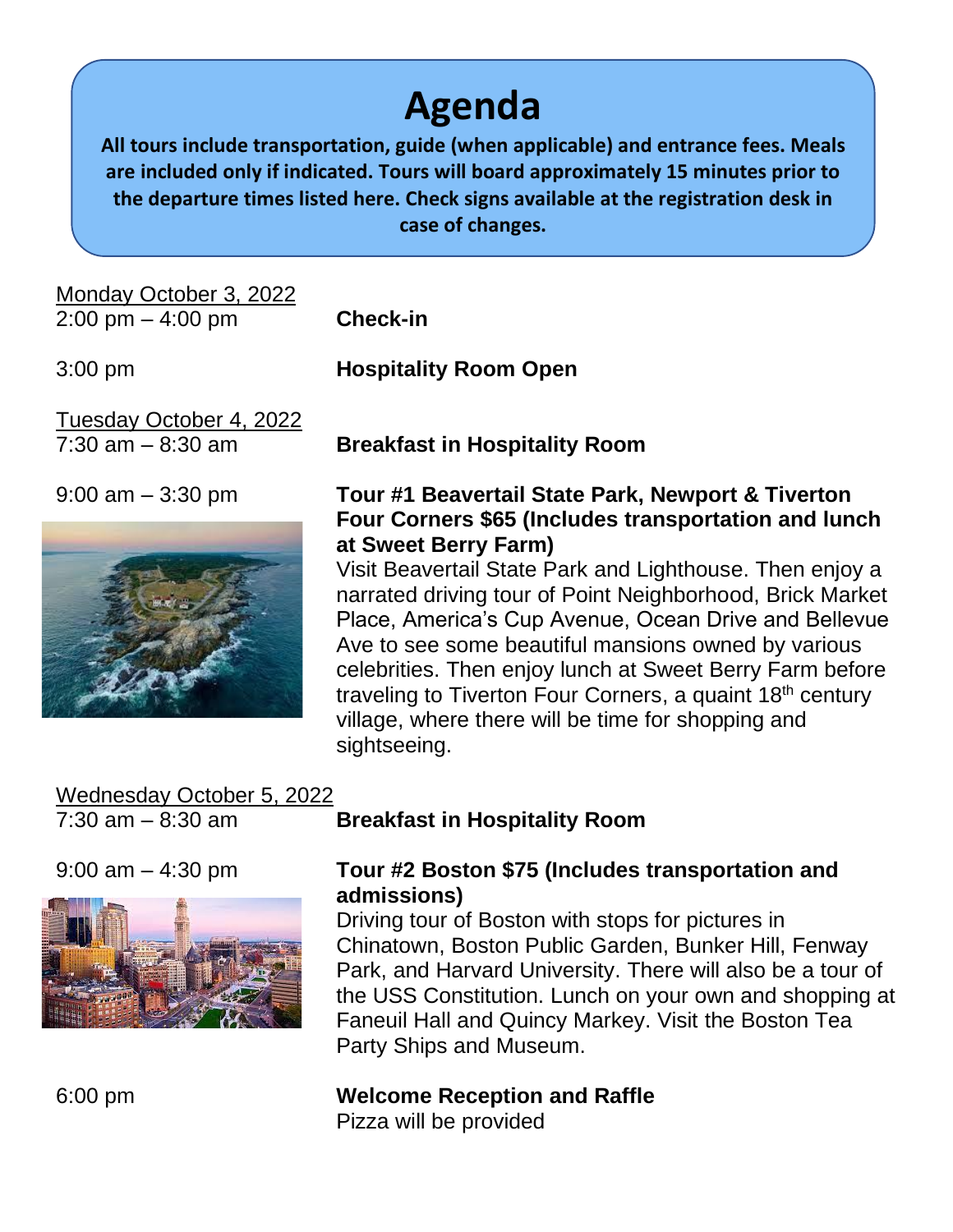# **Agenda**

**All tours include transportation, guide (when applicable) and entrance fees. Meals are included only if indicated. Tours will board approximately 15 minutes prior to the departure times listed here. Check signs available at the registration desk in case of changes.**

Monday October 3, 2022 2:00 pm – 4:00 pm **Check-in**

Tuesday October 4, 2022



3:00 pm **Hospitality Room Open**

7:30 am – 8:30 am **Breakfast in Hospitality Room**

#### 9:00 am – 3:30 pm **Tour #1 Beavertail State Park, Newport & Tiverton Four Corners \$65 (Includes transportation and lunch at Sweet Berry Farm)**

Visit Beavertail State Park and Lighthouse. Then enjoy a narrated driving tour of Point Neighborhood, Brick Market Place, America's Cup Avenue, Ocean Drive and Bellevue Ave to see some beautiful mansions owned by various celebrities. Then enjoy lunch at Sweet Berry Farm before traveling to Tiverton Four Corners, a quaint 18<sup>th</sup> century village, where there will be time for shopping and sightseeing.

## Wednesday October 5, 2022



### 7:30 am – 8:30 am **Breakfast in Hospitality Room**

#### 9:00 am – 4:30 pm **Tour #2 Boston \$75 (Includes transportation and admissions)**

Driving tour of Boston with stops for pictures in Chinatown, Boston Public Garden, Bunker Hill, Fenway Park, and Harvard University. There will also be a tour of the USS Constitution. Lunch on your own and shopping at Faneuil Hall and Quincy Markey. Visit the Boston Tea Party Ships and Museum.

#### 6:00 pm **Welcome Reception and Raffle**

Pizza will be provided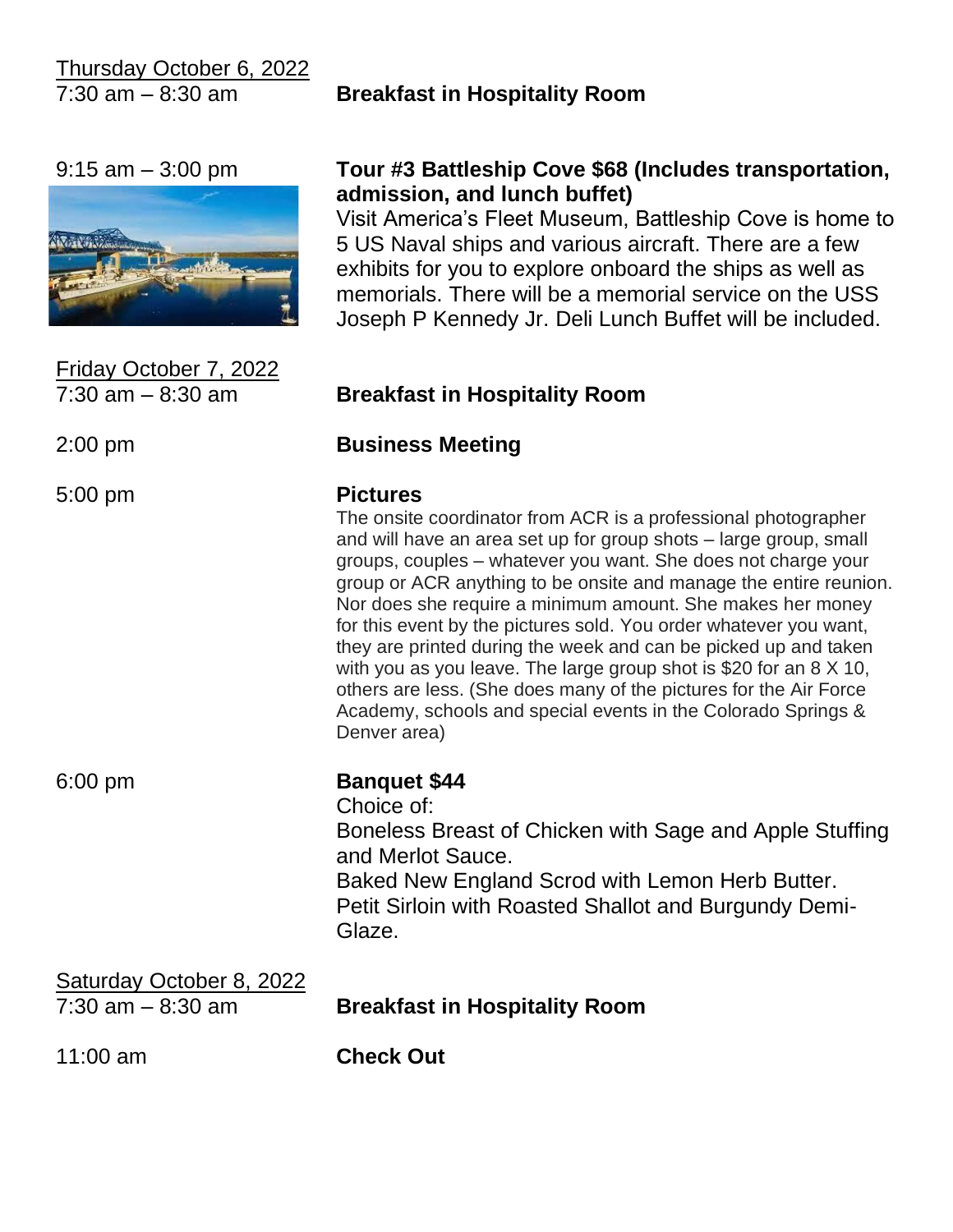Thursday October 6, 2022

7:30 am – 8:30 am **Breakfast in Hospitality Room**



Friday October 7, 2022

#### 9:15 am – 3:00 pm **Tour #3 Battleship Cove \$68 (Includes transportation, admission, and lunch buffet)**

Visit America's Fleet Museum, Battleship Cove is home to 5 US Naval ships and various aircraft. There are a few exhibits for you to explore onboard the ships as well as memorials. There will be a memorial service on the USS Joseph P Kennedy Jr. Deli Lunch Buffet will be included.

#### 7:30 am – 8:30 am **Breakfast in Hospitality Room**

#### 2:00 pm **Business Meeting**

#### 5:00 pm **Pictures**

The onsite coordinator from ACR is a professional photographer and will have an area set up for group shots – large group, small groups, couples – whatever you want. She does not charge your group or ACR anything to be onsite and manage the entire reunion. Nor does she require a minimum amount. She makes her money for this event by the pictures sold. You order whatever you want, they are printed during the week and can be picked up and taken with you as you leave. The large group shot is \$20 for an 8 X 10, others are less. (She does many of the pictures for the Air Force Academy, schools and special events in the Colorado Springs & Denver area)

#### 6:00 pm **Banquet \$44**

Choice of:

Boneless Breast of Chicken with Sage and Apple Stuffing and Merlot Sauce. Baked New England Scrod with Lemon Herb Butter.

Petit Sirloin with Roasted Shallot and Burgundy Demi-Glaze.

## Saturday October 8, 2022 7:30 am – 8:30 am **Breakfast in Hospitality Room** 11:00 am **Check Out**